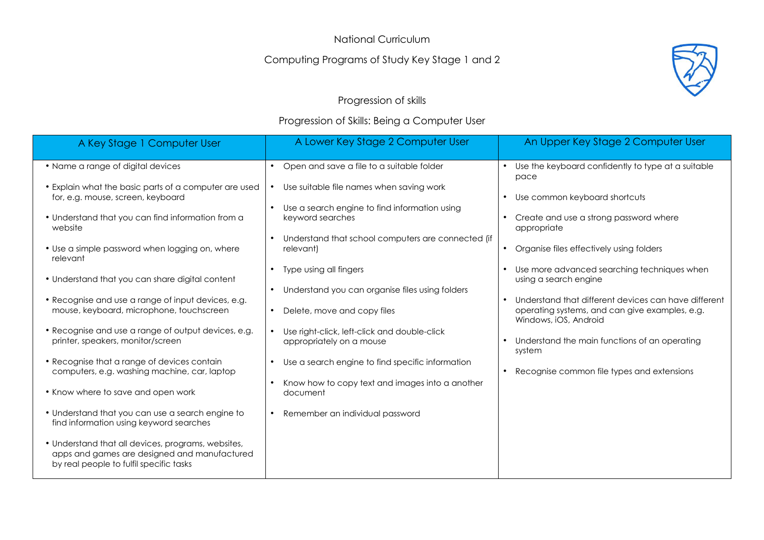National Curriculum

### Computing Programs of Study Key Stage 1 and 2



### Progression of skills

#### Progression of Skills: Being a Computer User

| A Key Stage 1 Computer User                                                                                                                   | A Lower Key Stage 2 Computer User                                                                                             | An Upper Key Stage 2 Computer User                                                                                                           |
|-----------------------------------------------------------------------------------------------------------------------------------------------|-------------------------------------------------------------------------------------------------------------------------------|----------------------------------------------------------------------------------------------------------------------------------------------|
| • Name a range of digital devices                                                                                                             | Open and save a file to a suitable folder<br>$\bullet$                                                                        | Use the keyboard confidently to type at a suitable<br>pace                                                                                   |
| • Explain what the basic parts of a computer are used<br>for, e.g. mouse, screen, keyboard                                                    | Use suitable file names when saving work<br>Use a search engine to find information using<br>$\bullet$                        | Use common keyboard shortcuts<br>$\bullet$                                                                                                   |
| • Understand that you can find information from a<br>website                                                                                  | keyword searches<br>Understand that school computers are connected (if                                                        | Create and use a strong password where<br>$\bullet$<br>appropriate                                                                           |
| • Use a simple password when logging on, where<br>relevant                                                                                    | relevant)                                                                                                                     | Organise files effectively using folders<br>$\bullet$                                                                                        |
| • Understand that you can share digital content                                                                                               | Type using all fingers<br>$\bullet$<br>Understand you can organise files using folders<br>$\bullet$                           | Use more advanced searching techniques when<br>$\bullet$<br>using a search engine                                                            |
| • Recognise and use a range of input devices, e.g.<br>mouse, keyboard, microphone, touchscreen                                                | Delete, move and copy files<br>$\bullet$                                                                                      | Understand that different devices can have different<br>$\bullet$<br>operating systems, and can give examples, e.g.<br>Windows, iOS, Android |
| • Recognise and use a range of output devices, e.g.<br>printer, speakers, monitor/screen                                                      | Use right-click, left-click and double-click<br>appropriately on a mouse                                                      | Understand the main functions of an operating<br>$\bullet$<br>system                                                                         |
| • Recognise that a range of devices contain<br>computers, e.g. washing machine, car, laptop                                                   | Use a search engine to find specific information<br>$\bullet$<br>Know how to copy text and images into a another<br>$\bullet$ | Recognise common file types and extensions<br>$\bullet$                                                                                      |
| • Know where to save and open work                                                                                                            | document                                                                                                                      |                                                                                                                                              |
| • Understand that you can use a search engine to<br>find information using keyword searches                                                   | Remember an individual password<br>$\bullet$                                                                                  |                                                                                                                                              |
| • Understand that all devices, programs, websites,<br>apps and games are designed and manufactured<br>by real people to fulfil specific tasks |                                                                                                                               |                                                                                                                                              |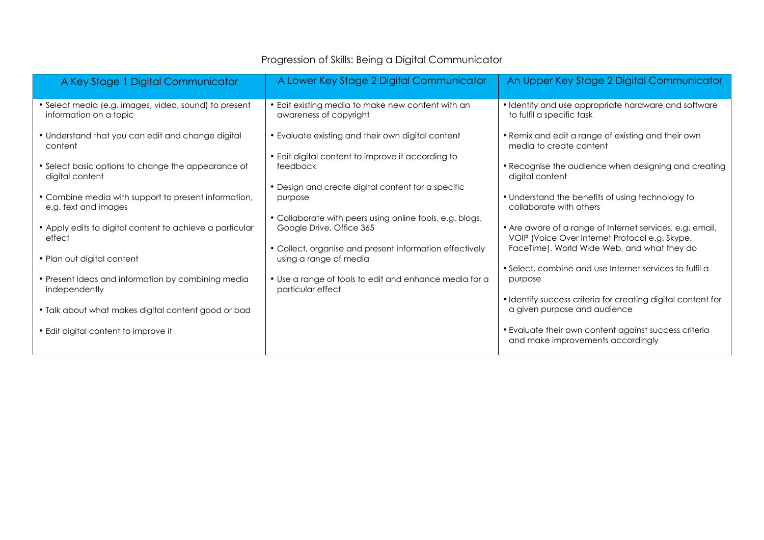| A Key Stage 1 Digital Communicator                                              | A Lower Key Stage 2 Digital Communicator                                             | An Upper Key Stage 2 Digital Communicator                                                                  |
|---------------------------------------------------------------------------------|--------------------------------------------------------------------------------------|------------------------------------------------------------------------------------------------------------|
| • Select media (e.g. images, video, sound) to present<br>information on a topic | • Edit existing media to make new content with an<br>awareness of copyright          | • Identify and use appropriate hardware and software<br>to fulfil a specific task                          |
| • Understand that you can edit and change digital<br>content                    | • Evaluate existing and their own digital content                                    | • Remix and edit a range of existing and their own<br>media to create content                              |
| • Select basic options to change the appearance of<br>digital content           | • Edit digital content to improve it according to<br>feedback                        | • Recognise the audience when designing and creating<br>digital content                                    |
| • Combine media with support to present information,<br>e.g. text and images    | • Design and create digital content for a specific<br>purpose                        | • Understand the benefits of using technology to<br>collaborate with others                                |
| • Apply edits to digital content to achieve a particular<br>effect              | • Collaborate with peers using online tools, e.g. blogs,<br>Google Drive, Office 365 | • Are aware of a range of Internet services, e.g. email,<br>VOIP (Voice Over Internet Protocol e.g. Skype, |
| • Plan out digital content                                                      | • Collect, organise and present information effectively<br>using a range of media    | FaceTime), World Wide Web, and what they do<br>• Select, combine and use Internet services to fulfil a     |
| • Present ideas and information by combining media<br>independently             | • Use a range of tools to edit and enhance media for a<br>particular effect          | purpose                                                                                                    |
| • Talk about what makes digital content good or bad                             |                                                                                      | • Identify success criteria for creating digital content for<br>a given purpose and audience               |
| • Edit digital content to improve it                                            |                                                                                      | • Evaluate their own content against success criteria<br>and make improvements accordingly                 |

# Progression of Skills: Being a Digital Communicator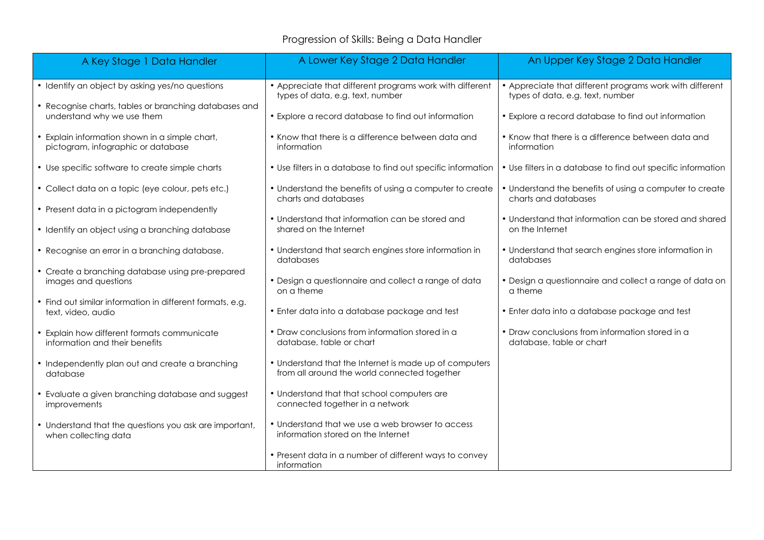## Progression of Skills: Being a Data Handler

| A Key Stage 1 Data Handler                                                           | A Lower Key Stage 2 Data Handler                                                                       | An Upper Key Stage 2 Data Handler                                                            |
|--------------------------------------------------------------------------------------|--------------------------------------------------------------------------------------------------------|----------------------------------------------------------------------------------------------|
| • Identify an object by asking yes/no questions                                      | • Appreciate that different programs work with different<br>types of data, e.g. text, number           | • Appreciate that different programs work with different<br>types of data, e.g. text, number |
| • Recognise charts, tables or branching databases and<br>understand why we use them  | • Explore a record database to find out information                                                    | • Explore a record database to find out information                                          |
| • Explain information shown in a simple chart,<br>pictogram, infographic or database | • Know that there is a difference between data and<br>information                                      | • Know that there is a difference between data and<br>information                            |
| • Use specific software to create simple charts                                      | • Use filters in a database to find out specific information                                           | • Use filters in a database to find out specific information                                 |
| • Collect data on a topic (eye colour, pets etc.)                                    | • Understand the benefits of using a computer to create<br>charts and databases                        | • Understand the benefits of using a computer to create<br>charts and databases              |
| • Present data in a pictogram independently                                          |                                                                                                        |                                                                                              |
| • Identify an object using a branching database                                      | • Understand that information can be stored and<br>shared on the Internet                              | • Understand that information can be stored and shared<br>on the Internet                    |
| • Recognise an error in a branching database.                                        | • Understand that search engines store information in<br>databases                                     | • Understand that search engines store information in<br>databases                           |
| • Create a branching database using pre-prepared<br>images and questions             | • Design a questionnaire and collect a range of data<br>on a theme                                     | • Design a questionnaire and collect a range of data on<br>a theme                           |
| • Find out similar information in different formats, e.g.<br>text, video, audio      | • Enter data into a database package and test                                                          | • Enter data into a database package and test                                                |
| • Explain how different formats communicate<br>information and their benefits        | • Draw conclusions from information stored in a<br>database, table or chart                            | • Draw conclusions from information stored in a<br>database, table or chart                  |
| • Independently plan out and create a branching<br>database                          | • Understand that the Internet is made up of computers<br>from all around the world connected together |                                                                                              |
| • Evaluate a given branching database and suggest<br>improvements                    | • Understand that that school computers are<br>connected together in a network                         |                                                                                              |
| • Understand that the questions you ask are important,<br>when collecting data       | • Understand that we use a web browser to access<br>information stored on the Internet                 |                                                                                              |
|                                                                                      | • Present data in a number of different ways to convey<br>information                                  |                                                                                              |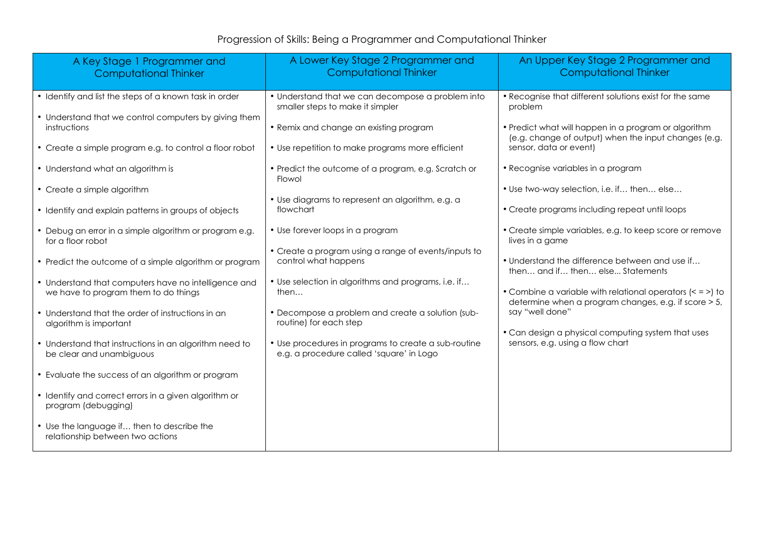## Progression of Skills: Being a Programmer and Computational Thinker

| A Key Stage 1 Programmer and<br><b>Computational Thinker</b>                                 | A Lower Key Stage 2 Programmer and<br><b>Computational Thinker</b>                               | An Upper Key Stage 2 Programmer and<br><b>Computational Thinker</b>                                                  |
|----------------------------------------------------------------------------------------------|--------------------------------------------------------------------------------------------------|----------------------------------------------------------------------------------------------------------------------|
| • Identify and list the steps of a known task in order                                       | • Understand that we can decompose a problem into<br>smaller steps to make it simpler            | . Recognise that different solutions exist for the same<br>problem                                                   |
| • Understand that we control computers by giving them<br>instructions                        | • Remix and change an existing program                                                           | • Predict what will happen in a program or algorithm<br>(e.g. change of output) when the input changes (e.g.         |
| • Create a simple program e.g. to control a floor robot                                      | • Use repetition to make programs more efficient                                                 | sensor, data or event)                                                                                               |
| • Understand what an algorithm is                                                            | • Predict the outcome of a program, e.g. Scratch or<br>Flowol                                    | • Recognise variables in a program                                                                                   |
| • Create a simple algorithm                                                                  | • Use diagrams to represent an algorithm, e.g. a                                                 | • Use two-way selection, i.e. if then else                                                                           |
| • Identify and explain patterns in groups of objects                                         | flowchart                                                                                        | • Create programs including repeat until loops                                                                       |
| • Debug an error in a simple algorithm or program e.g.<br>for a floor robot                  | • Use forever loops in a program                                                                 | • Create simple variables, e.g. to keep score or remove<br>lives in a game                                           |
| • Predict the outcome of a simple algorithm or program                                       | • Create a program using a range of events/inputs to<br>control what happens                     | • Understand the difference between and use if<br>then and if then else Statements                                   |
| • Understand that computers have no intelligence and<br>we have to program them to do things | • Use selection in algorithms and programs, i.e. if<br>then                                      | • Combine a variable with relational operators $(< = >$ ) to<br>determine when a program changes, e.g. if score > 5, |
| • Understand that the order of instructions in an<br>algorithm is important                  | • Decompose a problem and create a solution (sub-<br>routine) for each step                      | say "well done"                                                                                                      |
| • Understand that instructions in an algorithm need to<br>be clear and unambiguous           | • Use procedures in programs to create a sub-routine<br>e.g. a procedure called 'square' in Logo | • Can design a physical computing system that uses<br>sensors, e.g. using a flow chart                               |
| • Evaluate the success of an algorithm or program                                            |                                                                                                  |                                                                                                                      |
| • Identify and correct errors in a given algorithm or<br>program (debugging)                 |                                                                                                  |                                                                                                                      |
| • Use the language if then to describe the<br>relationship between two actions               |                                                                                                  |                                                                                                                      |